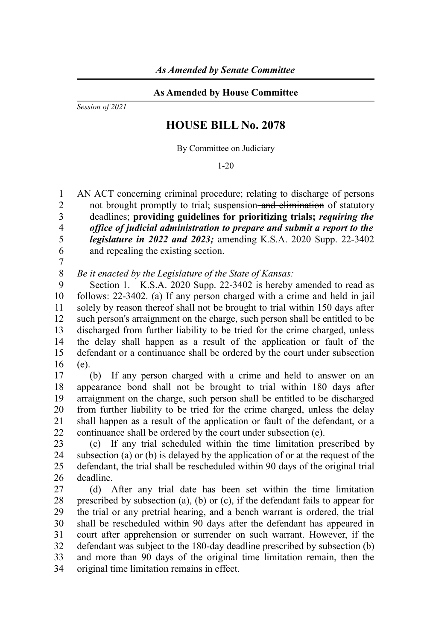## **As Amended by House Committee**

*Session of 2021*

## **HOUSE BILL No. 2078**

By Committee on Judiciary

1-20

AN ACT concerning criminal procedure; relating to discharge of persons not brought promptly to trial; suspension–and elimination of statutory deadlines; **providing guidelines for prioritizing trials;** *requiring the office of judicial administration to prepare and submit a report to the legislature in 2022 and 2023;* amending K.S.A. 2020 Supp. 22-3402 and repealing the existing section. 1  $\mathfrak{D}$ 3 4 5 6

7

*Be it enacted by the Legislature of the State of Kansas:* 8

Section 1. K.S.A. 2020 Supp. 22-3402 is hereby amended to read as follows: 22-3402. (a) If any person charged with a crime and held in jail solely by reason thereof shall not be brought to trial within 150 days after such person's arraignment on the charge, such person shall be entitled to be discharged from further liability to be tried for the crime charged, unless the delay shall happen as a result of the application or fault of the defendant or a continuance shall be ordered by the court under subsection (e). 9 10 11 12 13 14 15 16

(b) If any person charged with a crime and held to answer on an appearance bond shall not be brought to trial within 180 days after arraignment on the charge, such person shall be entitled to be discharged from further liability to be tried for the crime charged, unless the delay shall happen as a result of the application or fault of the defendant, or a continuance shall be ordered by the court under subsection (e). 17 18 19 20 21 22

(c) If any trial scheduled within the time limitation prescribed by subsection (a) or (b) is delayed by the application of or at the request of the defendant, the trial shall be rescheduled within 90 days of the original trial deadline. 23 24 25 26

(d) After any trial date has been set within the time limitation prescribed by subsection (a), (b) or (c), if the defendant fails to appear for the trial or any pretrial hearing, and a bench warrant is ordered, the trial shall be rescheduled within 90 days after the defendant has appeared in court after apprehension or surrender on such warrant. However, if the defendant was subject to the 180-day deadline prescribed by subsection (b) and more than 90 days of the original time limitation remain, then the original time limitation remains in effect. 27 28 29 30 31 32 33 34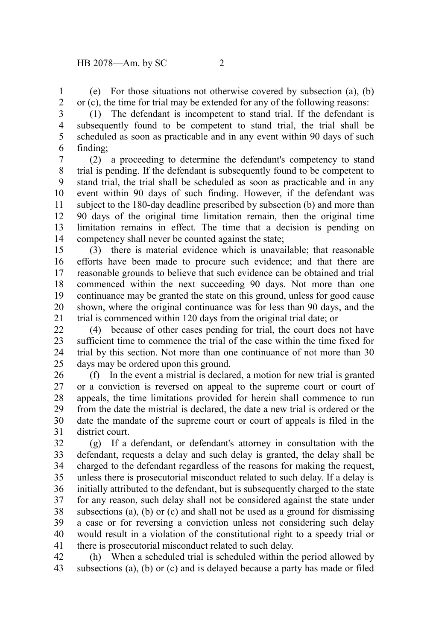(e) For those situations not otherwise covered by subsection (a), (b) or (c), the time for trial may be extended for any of the following reasons: 1 2

3 4

5 6

(1) The defendant is incompetent to stand trial. If the defendant is subsequently found to be competent to stand trial, the trial shall be scheduled as soon as practicable and in any event within 90 days of such finding;

(2) a proceeding to determine the defendant's competency to stand trial is pending. If the defendant is subsequently found to be competent to stand trial, the trial shall be scheduled as soon as practicable and in any event within 90 days of such finding. However, if the defendant was subject to the 180-day deadline prescribed by subsection (b) and more than 90 days of the original time limitation remain, then the original time limitation remains in effect. The time that a decision is pending on competency shall never be counted against the state; 7 8 9 10 11 12 13 14

(3) there is material evidence which is unavailable; that reasonable efforts have been made to procure such evidence; and that there are reasonable grounds to believe that such evidence can be obtained and trial commenced within the next succeeding 90 days. Not more than one continuance may be granted the state on this ground, unless for good cause shown, where the original continuance was for less than 90 days, and the trial is commenced within 120 days from the original trial date; or 15 16 17 18 19 20 21

(4) because of other cases pending for trial, the court does not have sufficient time to commence the trial of the case within the time fixed for trial by this section. Not more than one continuance of not more than 30 days may be ordered upon this ground. 22 23 24 25

(f) In the event a mistrial is declared, a motion for new trial is granted or a conviction is reversed on appeal to the supreme court or court of appeals, the time limitations provided for herein shall commence to run from the date the mistrial is declared, the date a new trial is ordered or the date the mandate of the supreme court or court of appeals is filed in the district court. 26 27 28 29 30 31

(g) If a defendant, or defendant's attorney in consultation with the defendant, requests a delay and such delay is granted, the delay shall be charged to the defendant regardless of the reasons for making the request, unless there is prosecutorial misconduct related to such delay. If a delay is initially attributed to the defendant, but is subsequently charged to the state for any reason, such delay shall not be considered against the state under subsections (a), (b) or (c) and shall not be used as a ground for dismissing a case or for reversing a conviction unless not considering such delay would result in a violation of the constitutional right to a speedy trial or there is prosecutorial misconduct related to such delay. 32 33 34 35 36 37 38 39 40 41

(h) When a scheduled trial is scheduled within the period allowed by subsections (a), (b) or (c) and is delayed because a party has made or filed 42 43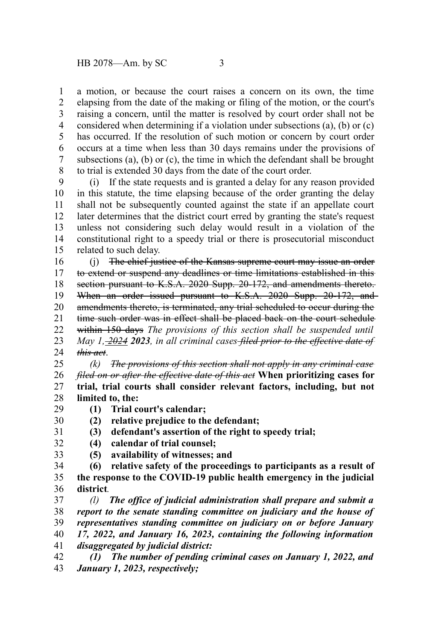a motion, or because the court raises a concern on its own, the time elapsing from the date of the making or filing of the motion, or the court's raising a concern, until the matter is resolved by court order shall not be considered when determining if a violation under subsections (a), (b) or (c) has occurred. If the resolution of such motion or concern by court order occurs at a time when less than 30 days remains under the provisions of subsections (a), (b) or (c), the time in which the defendant shall be brought

to trial is extended 30 days from the date of the court order. (i) If the state requests and is granted a delay for any reason provided in this statute, the time elapsing because of the order granting the delay shall not be subsequently counted against the state if an appellate court later determines that the district court erred by granting the state's request unless not considering such delay would result in a violation of the constitutional right to a speedy trial or there is prosecutorial misconduct related to such delay. 9 10 11 12 13 14 15

(j) The chief justice of the Kansas supreme court may issue an order to extend or suspend any deadlines or time limitations established in this section pursuant to K.S.A. 2020 Supp. 20-172, and amendments thereto. When an order issued pursuant to K.S.A. 2020 Supp. 20-172, and amendments thereto, is terminated, any trial scheduled to occur during the time such order was in effect shall be placed back on the court schedule within 150 days *The provisions of this section shall be suspended until May 1, 2024 2023, in all criminal cases filed prior to the effective date of this act*. 16 17 18 19 20 21 22 23 24

*(k) The provisions of this section shall not apply in any criminal case filed on or after the effective date of this act* **When prioritizing cases for trial, trial courts shall consider relevant factors, including, but not limited to, the:** 25 26 27 28

- **(1) Trial court's calendar;** 29
- **(2) relative prejudice to the defendant;** 30
	- **(3) defendant's assertion of the right to speedy trial;**

**(4) calendar of trial counsel;** 32

31

33

- **(5) availability of witnesses; and**
- **(6) relative safety of the proceedings to participants as a result of the response to the COVID-19 public health emergency in the judicial district***.* 34 35 36
- *(l) The office of judicial administration shall prepare and submit a report to the senate standing committee on judiciary and the house of representatives standing committee on judiciary on or before January 17, 2022, and January 16, 2023, containing the following information disaggregated by judicial district:* 37 38 39 40 41
- *(1) The number of pending criminal cases on January 1, 2022, and January 1, 2023, respectively;* 42 43